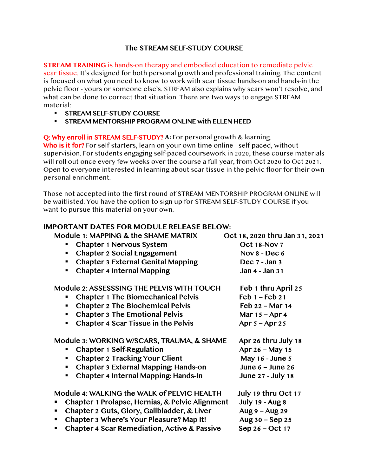## The STREAM SELF-STUDY COURSE

**STREAM TRAINING** is hands-on therapy and embodied education to remediate pelvic scar tissue. It's designed for both personal growth and professional training. The content is focused on what you need to know to work with scar tissue hands-on and hands-in the pelvic floor - yours or someone else's. STREAM also explains why scars won't resolve, and what can be done to correct that situation. There are two ways to engage STREAM material:

- § STREAM SELF-STUDY COURSE
- § STREAM MENTORSHIP PROGRAM ONLINE with ELLEN HEED

**Q: Why enroll in STREAM SELF-STUDY? A:** For personal growth & learning. Who is it for? For self-starters, learn on your own time online - self-paced, without supervision. For students engaging self-paced coursework in 2020, these course materials will roll out once every few weeks over the course a full year, from Oct 2020 to Oct 2021. Open to everyone interested in learning about scar tissue in the pelvic floor for their own personal enrichment.

Those not accepted into the first round of STREAM MENTORSHIP PROGRAM ONLINE will be waitlisted. You have the option to sign up for STREAM SELF-STUDY COURSE if you want to pursue this material on your own.

# **IMPORTANT DATES FOR MODULE RELEASE BELOW:**

| <b>Module 1: MAPPING &amp; the SHAME MATRIX</b>         | Oct 18, 2020 thru Jan 31, 2021 |
|---------------------------------------------------------|--------------------------------|
| Chapter 1 Nervous System<br>٠                           | <b>Oct 18-Nov 7</b>            |
| <b>Chapter 2 Social Engagement</b>                      | Nov 8 - Dec 6                  |
| <b>Chapter 3 External Genital Mapping</b><br>٠          | Dec 7 - Jan 3                  |
| <b>Chapter 4 Internal Mapping</b><br>$\blacksquare$     | Jan 4 - Jan 31                 |
| Module 2: ASSESSSING THE PELVIS WITH TOUCH              | Feb 1 thru April 25            |
| <b>Chapter 1 The Biomechanical Pelvis</b>               | Feb $1 -$ Feb 21               |
| Chapter 2 The Biochemical Pelvis<br>$\blacksquare$      | Feb 22 - Mar 14                |
| <b>Chapter 3 The Emotional Pelvis</b><br>$\blacksquare$ | Mar $15 -$ Apr 4               |
| Chapter 4 Scar Tissue in the Pelvis<br>٠                | Apr $5 -$ Apr 25               |
| <b>Module 3: WORKING W/SCARS, TRAUMA, &amp; SHAME</b>   | Apr 26 thru July 18            |
| Chapter 1 Self-Regulation                               | Apr 26 - May 15                |
| <b>Chapter 2 Tracking Your Client</b>                   | May 16 - June 5                |
| Chapter 3 External Mapping: Hands-on<br>$\blacksquare$  | June $6 -$ June 26             |
| Chapter 4 Internal Mapping: Hands-In                    | June 27 - July 18              |
| Module 4: WALKING the WALK of PELVIC HEALTH             | July 19 thru Oct 17            |
| Chapter 1 Prolapse, Hernias, & Pelvic Alignment         | <b>July 19 - Aug 8</b>         |
| Chapter 2 Guts, Glory, Gallbladder, & Liver<br>٠        | Aug $9 -$ Aug 29               |
| Chapter 3 Where's Your Pleasure? Map It!<br>×,          | Aug $30 -$ Sep 25              |
| Chapter 4 Scar Remediation, Active & Passive<br>π,      | Sep 26 - Oct 17                |